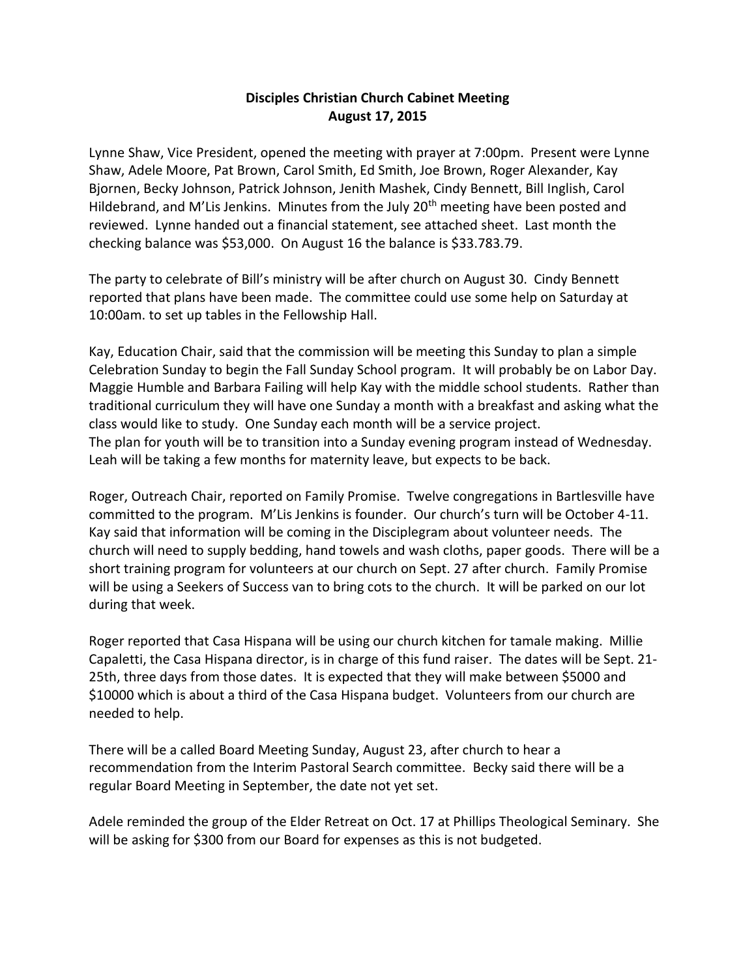## **Disciples Christian Church Cabinet Meeting August 17, 2015**

Lynne Shaw, Vice President, opened the meeting with prayer at 7:00pm. Present were Lynne Shaw, Adele Moore, Pat Brown, Carol Smith, Ed Smith, Joe Brown, Roger Alexander, Kay Bjornen, Becky Johnson, Patrick Johnson, Jenith Mashek, Cindy Bennett, Bill Inglish, Carol Hildebrand, and M'Lis Jenkins. Minutes from the July 20<sup>th</sup> meeting have been posted and reviewed. Lynne handed out a financial statement, see attached sheet. Last month the checking balance was \$53,000. On August 16 the balance is \$33.783.79.

The party to celebrate of Bill's ministry will be after church on August 30. Cindy Bennett reported that plans have been made. The committee could use some help on Saturday at 10:00am. to set up tables in the Fellowship Hall.

Kay, Education Chair, said that the commission will be meeting this Sunday to plan a simple Celebration Sunday to begin the Fall Sunday School program. It will probably be on Labor Day. Maggie Humble and Barbara Failing will help Kay with the middle school students. Rather than traditional curriculum they will have one Sunday a month with a breakfast and asking what the class would like to study. One Sunday each month will be a service project. The plan for youth will be to transition into a Sunday evening program instead of Wednesday. Leah will be taking a few months for maternity leave, but expects to be back.

Roger, Outreach Chair, reported on Family Promise. Twelve congregations in Bartlesville have committed to the program. M'Lis Jenkins is founder. Our church's turn will be October 4-11. Kay said that information will be coming in the Disciplegram about volunteer needs. The church will need to supply bedding, hand towels and wash cloths, paper goods. There will be a short training program for volunteers at our church on Sept. 27 after church. Family Promise will be using a Seekers of Success van to bring cots to the church. It will be parked on our lot during that week.

Roger reported that Casa Hispana will be using our church kitchen for tamale making. Millie Capaletti, the Casa Hispana director, is in charge of this fund raiser. The dates will be Sept. 21- 25th, three days from those dates. It is expected that they will make between \$5000 and \$10000 which is about a third of the Casa Hispana budget. Volunteers from our church are needed to help.

There will be a called Board Meeting Sunday, August 23, after church to hear a recommendation from the Interim Pastoral Search committee. Becky said there will be a regular Board Meeting in September, the date not yet set.

Adele reminded the group of the Elder Retreat on Oct. 17 at Phillips Theological Seminary. She will be asking for \$300 from our Board for expenses as this is not budgeted.